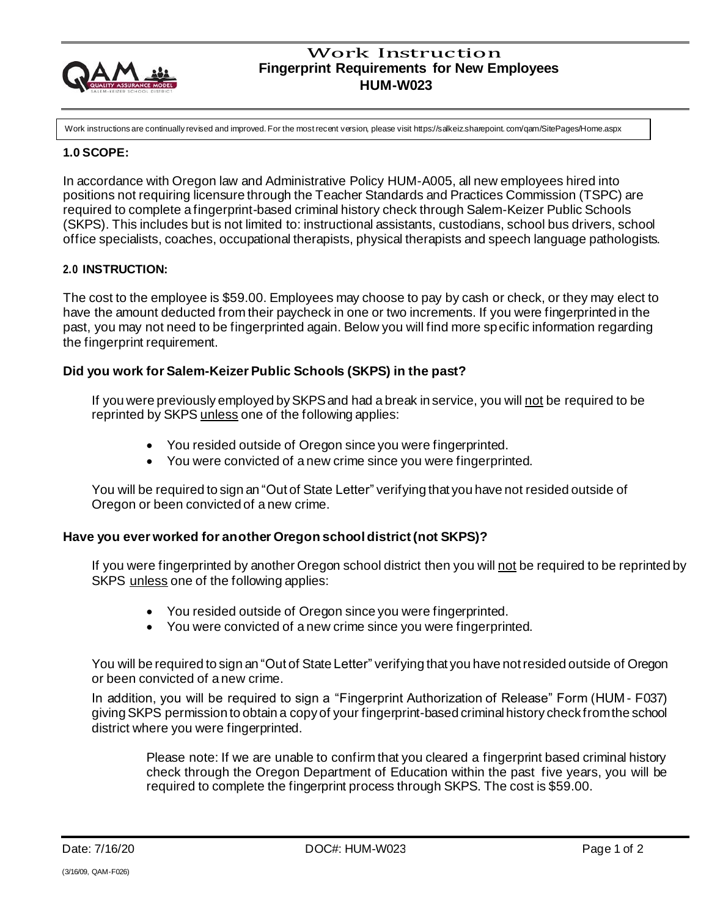

## Work Instruction **Fingerprint Requirements for New Employees HUM-W023**

Work instructions are continually revised and improved. For the most recent version, please visit https://salkeiz.sharepoint. com/qam/SitePages/Home.aspx

## **1.0 SCOPE:**

In accordance with Oregon law and Administrative Policy HUM-A005, all new employees hired into positions not requiring licensure through the Teacher Standards and Practices Commission (TSPC) are required to complete a fingerprint-based criminal history check through Salem-Keizer Public Schools (SKPS). This includes but is not limited to: instructional assistants, custodians, school bus drivers, school office specialists, coaches, occupational therapists, physical therapists and speech language pathologists.

#### **2.0 INSTRUCTION:**

The cost to the employee is \$59.00. Employees may choose to pay by cash or check, or they may elect to have the amount deducted from their paycheck in one or two increments. If you were fingerprinted in the past, you may not need to be fingerprinted again. Below you will find more specific information regarding the fingerprint requirement.

## **Did you work for Salem-Keizer Public Schools (SKPS) in the past?**

If you were previously employed by SKPS and had a break in service, you will not be required to be reprinted by SKPS unless one of the following applies:

- You resided outside of Oregon since you were fingerprinted.
- You were convicted of a new crime since you were fingerprinted.

You will be required to sign an "Out of State Letter" verifying that you have not resided outside of Oregon or been convicted of a new crime.

## **Have you ever worked for another Oregon school district (not SKPS)?**

If you were fingerprinted by another Oregon school district then you will not be required to be reprinted by SKPS unless one of the following applies:

- You resided outside of Oregon since you were fingerprinted.
- You were convicted of a new crime since you were fingerprinted.

You will be required to sign an "Out of State Letter" verifying that you have notresided outside of Oregon or been convicted of a new crime.

In addition, you will be required to sign a "Fingerprint Authorization of Release" Form (HUM - F037) giving SKPS permission to obtain a copy of your fingerprint-based criminal history check from the school district where you were fingerprinted.

Please note: If we are unable to confirm that you cleared a fingerprint based criminal history check through the Oregon Department of Education within the past five years, you will be required to complete the fingerprint process through SKPS. The cost is \$59.00.